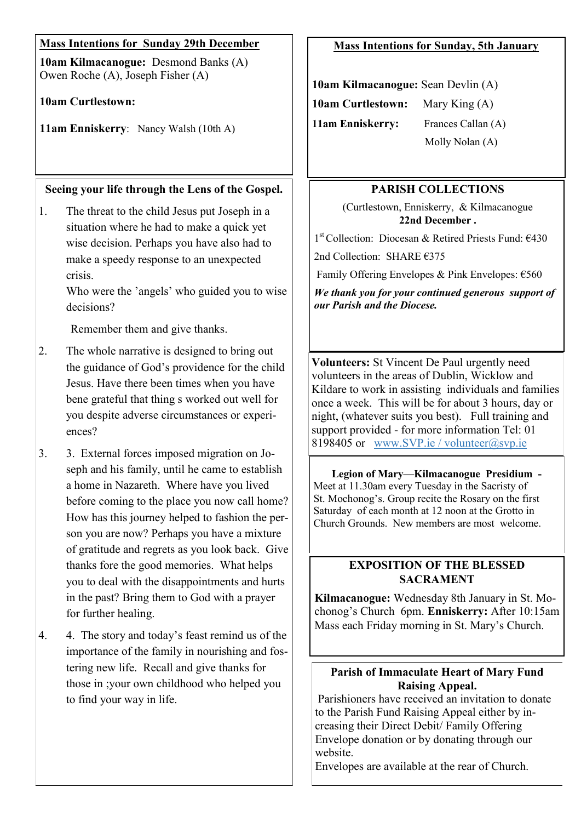| <b>Mass Intentions for Sunday 29th December</b>                                                                                                                                                                                                                                                                                                        | <b>Mass Intentions for Sunday, 5th January</b>                                                                                                                                                                                                                                                                                                                       |
|--------------------------------------------------------------------------------------------------------------------------------------------------------------------------------------------------------------------------------------------------------------------------------------------------------------------------------------------------------|----------------------------------------------------------------------------------------------------------------------------------------------------------------------------------------------------------------------------------------------------------------------------------------------------------------------------------------------------------------------|
| 10am Kilmacanogue: Desmond Banks (A)<br>Owen Roche (A), Joseph Fisher (A)                                                                                                                                                                                                                                                                              | 10am Kilmacanogue: Sean Devlin (A)                                                                                                                                                                                                                                                                                                                                   |
| <b>10am Curtlestown:</b>                                                                                                                                                                                                                                                                                                                               | <b>10am Curtlestown:</b><br>Mary King $(A)$                                                                                                                                                                                                                                                                                                                          |
| 11am Enniskerry: Nancy Walsh (10th A)                                                                                                                                                                                                                                                                                                                  | 11am Enniskerry:<br>Frances Callan (A)<br>Molly Nolan (A)                                                                                                                                                                                                                                                                                                            |
| Seeing your life through the Lens of the Gospel.                                                                                                                                                                                                                                                                                                       | <b>PARISH COLLECTIONS</b>                                                                                                                                                                                                                                                                                                                                            |
| The threat to the child Jesus put Joseph in a<br>1.<br>situation where he had to make a quick yet<br>wise decision. Perhaps you have also had to<br>make a speedy response to an unexpected<br>crisis.<br>Who were the 'angels' who guided you to wise<br>decisions?                                                                                   | (Curtlestown, Enniskerry, & Kilmacanogue<br>22nd December.<br>$1st$ Collection: Diocesan & Retired Priests Fund: $€430$<br>2nd Collection: SHARE €375<br>Family Offering Envelopes & Pink Envelopes: €560<br>We thank you for your continued generous support of<br>our Parish and the Diocese.                                                                      |
| Remember them and give thanks.                                                                                                                                                                                                                                                                                                                         |                                                                                                                                                                                                                                                                                                                                                                      |
| The whole narrative is designed to bring out<br>2.<br>the guidance of God's providence for the child<br>Jesus. Have there been times when you have<br>bene grateful that thing s worked out well for<br>you despite adverse circumstances or experi-<br>ences?                                                                                         | Volunteers: St Vincent De Paul urgently need<br>volunteers in the areas of Dublin, Wicklow and<br>Kildare to work in assisting individuals and families<br>once a week. This will be for about 3 hours, day or<br>night, (whatever suits you best). Full training and<br>support provided - for more information Tel: 01<br>8198405 or www.SVP.ie / volunteer@svp.ie |
| 3.<br>3. External forces imposed migration on Jo-<br>seph and his family, until he came to establish<br>a home in Nazareth. Where have you lived<br>before coming to the place you now call home?<br>How has this journey helped to fashion the per-<br>son you are now? Perhaps you have a mixture<br>of gratitude and regrets as you look back. Give | Legion of Mary-Kilmacanogue Presidium -<br>Meet at 11.30am every Tuesday in the Sacristy of<br>St. Mochonog's. Group recite the Rosary on the first<br>Saturday of each month at 12 noon at the Grotto in<br>Church Grounds. New members are most welcome.                                                                                                           |
| thanks fore the good memories. What helps<br>you to deal with the disappointments and hurts<br>in the past? Bring them to God with a prayer<br>for further healing.                                                                                                                                                                                    | <b>EXPOSITION OF THE BLESSED</b><br><b>SACRAMENT</b><br>Kilmacanogue: Wednesday 8th January in St. Mo-<br>chonog's Church 6pm. Enniskerry: After 10:15am                                                                                                                                                                                                             |
| 4. The story and today's feast remind us of the<br>4.<br>importance of the family in nourishing and fos-<br>tering new life. Recall and give thanks for                                                                                                                                                                                                | Mass each Friday morning in St. Mary's Church.                                                                                                                                                                                                                                                                                                                       |
| those in ; your own childhood who helped you<br>to find your way in life.                                                                                                                                                                                                                                                                              | <b>Parish of Immaculate Heart of Mary Fund</b><br><b>Raising Appeal.</b><br>Parishioners have received an invitation to donate                                                                                                                                                                                                                                       |

to the Parish Fund Raising Appeal either by increasing their Direct Debit/ Family Offering Envelope donation or by donating through our website.

Envelopes are available at the rear of Church.